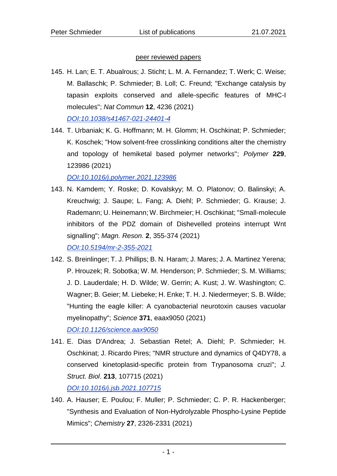## peer reviewed papers

- 145. H. Lan; E. T. Abualrous; J. Sticht; L. M. A. Fernandez; T. Werk; C. Weise; M. Ballaschk; P. Schmieder; B. Loll; C. Freund; "Exchange catalysis by tapasin exploits conserved and allele-specific features of MHC-I molecules"; *Nat Commun* **12**, 4236 (2021) *[DOI:10.1038/s41467-021-24401-4](https://doi.org/10.1038/s41467-021-24401-4)*
- 144. T. Urbaniak; K. G. Hoffmann; M. H. Glomm; H. Oschkinat; P. Schmieder; K. Koschek; "How solvent-free crosslinking conditions alter the chemistry and topology of hemiketal based polymer networks"; *Polymer* **229**, 123986 (2021)

*[DOI:10.1016/j.polymer.2021.123986](https://doi.org/10.1016/j.polymer.2021.123986)*

- 143. N. Kamdem; Y. Roske; D. Kovalskyy; M. O. Platonov; O. Balinskyi; A. Kreuchwig; J. Saupe; L. Fang; A. Diehl; P. Schmieder; G. Krause; J. Rademann; U. Heinemann; W. Birchmeier; H. Oschkinat; "Small-molecule inhibitors of the PDZ domain of Dishevelled proteins interrupt Wnt signalling"; *Magn. Reson.* **2**, 355-374 (2021) *[DOI:10.5194/mr-2-355-2021](https://doi.org/10.5194/mr-2-355-2021)*
- 142. S. Breinlinger; T. J. Phillips; B. N. Haram; J. Mares; J. A. Martinez Yerena; P. Hrouzek; R. Sobotka; W. M. Henderson; P. Schmieder; S. M. Williams; J. D. Lauderdale; H. D. Wilde; W. Gerrin; A. Kust; J. W. Washington; C. Wagner; B. Geier; M. Liebeke; H. Enke; T. H. J. Niedermeyer; S. B. Wilde; "Hunting the eagle killer: A cyanobacterial neurotoxin causes vacuolar myelinopathy"; *Science* **371**, eaax9050 (2021) *[DOI:10.1126/science.aax9050](https://doi.org/10.1126/science.aax9050)*
- 141. E. Dias D'Andrea; J. Sebastian Retel; A. Diehl; P. Schmieder; H. Oschkinat; J. Ricardo Pires; "NMR structure and dynamics of Q4DY78, a conserved kinetoplasid-specific protein from Trypanosoma cruzi"; *J. Struct. Biol*. **213**, 107715 (2021) *[DOI:10.1016/j.jsb.2021.107715](https://doi.org/10.1016/j.jsb.2021.107715)*
- 140. A. Hauser; E. Poulou; F. Muller; P. Schmieder; C. P. R. Hackenberger; "Synthesis and Evaluation of Non-Hydrolyzable Phospho-Lysine Peptide Mimics"; *Chemistry* **27**, 2326-2331 (2021)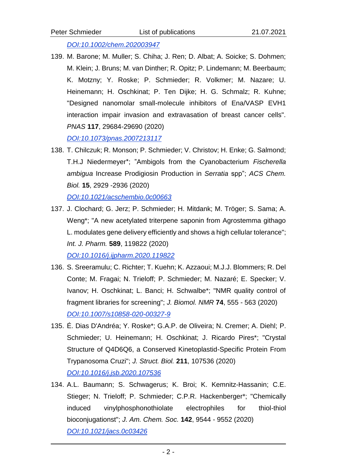*[DOI:10.1002/chem.202003947](https://doi.org/10.1002/chem.202003947)*

139. M. Barone; M. Muller; S. Chiha; J. Ren; D. Albat; A. Soicke; S. Dohmen; M. Klein; J. Bruns; M. van Dinther; R. Opitz; P. Lindemann; M. Beerbaum; K. Motzny; Y. Roske; P. Schmieder; R. Volkmer; M. Nazare; U. Heinemann; H. Oschkinat; P. Ten Dijke; H. G. Schmalz; R. Kuhne; "Designed nanomolar small-molecule inhibitors of Ena/VASP EVH1 interaction impair invasion and extravasation of breast cancer cells". *PNAS* **117**, 29684-29690 (2020)

*[DOI:10.1073/pnas.2007213117](https://doi.org/10.1073/pnas.2007213117)*

138. T. Chilczuk; R. Monson; P. Schmieder; V. Christov; H. Enke; G. Salmond; T.H.J Niedermeyer\*; "Ambigols from the Cyanobacterium *Fischerella ambigua* Increase Prodigiosin Production in *Serratia* spp"; *ACS Chem. Biol.* **15**, 2929 -2936 (2020)

*[DOI:10.1021/acschembio.0c00663](https://doi.org/10.1021/acschembio.0c00554)*

137. J. Clochard; G. Jerz; P. Schmieder; H. Mitdank; M. Tröger; S. Sama; A. Weng\*; "A new acetylated triterpene saponin from Agrostemma githago L. modulates gene delivery efficiently and shows a high cellular tolerance"; *Int. J. Pharm.* **589**, 119822 (2020)

*[DOI:10.1016/j.ijpharm.2020.119822](https://doi.org/10.1016/j.ijpharm.2020.119822)*

- 136. S. Sreeramulu; C. Richter; T. Kuehn; K. Azzaoui; M.J.J. Blommers; R. Del Conte; M. Fragai; N. Trieloff; P. Schmieder; M. Nazaré; E. Specker; V. Ivanov; H. Oschkinat; L. Banci; H. Schwalbe\*; "NMR quality control of fragment libraries for screening"; *J. Biomol. NMR* **74**, 555 - 563 (2020) *[DOI:10.1007/s10858-020-00327-9](https://doi.org/10.1007/s10858-020-00327-9)*
- 135. É. Dias D'Andréa; Y. Roske\*; G.A.P. de Oliveira; N. Cremer; A. Diehl; P. Schmieder; U. Heinemann; H. Oschkinat; J. Ricardo Pires\*; "Crystal Structure of Q4D6Q6, a Conserved Kinetoplastid-Specific Protein From Trypanosoma Cruzi"; *J. Struct. Biol.* **211**, 107536 (2020) *[DOI:10.1016/j.jsb.2020.107536](https://doi.org/10.1016/j.jsb.2020.107536)*
- 134. A.L. Baumann; S. Schwagerus; K. Broi; K. Kemnitz-Hassanin; C.E. Stieger; N. Trieloff; P. Schmieder; C.P.R. Hackenberger\*; "Chemically induced vinylphosphonothiolate electrophiles for thiol-thiol bioconjugationst"; *J. Am. Chem. Soc.* **142**, 9544 - 9552 (2020) *[DOI:10.1021/jacs.0c03426](https://doi.org/10.1021/jacs.0c03426)*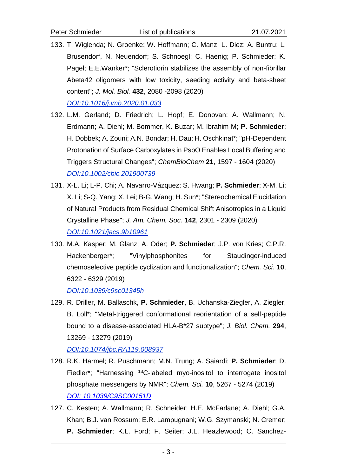133. T. Wiglenda; N. Groenke; W. Hoffmann; C. Manz; L. Diez; A. Buntru; L. Brusendorf, N. Neuendorf; S. Schnoegl; C. Haenig; P. Schmieder; K. Pagel; E.E.Wanker\*; "Sclerotiorin stabilizes the assembly of non-fibrillar Abeta42 oligomers with low toxicity, seeding activity and beta-sheet content"; *J. Mol. Biol.* **432**, 2080 -2098 (2020)

*[DOI:10.1016/j.jmb.2020.01.033](https://doi.org/10.1016/j.jmb.2020.01.033)*

- 132. L.M. Gerland; D. Friedrich; L. Hopf; E. Donovan; A. Wallmann; N. Erdmann; A. Diehl; M. Bommer, K. Buzar; M. Ibrahim M; **P. Schmieder**; H. Dobbek; A. Zouni; A.N. Bondar; H. Dau; H. Oschkinat\*; "pH-Dependent Protonation of Surface Carboxylates in PsbO Enables Local Buffering and Triggers Structural Changes"; *ChemBioChem* **21**, 1597 - 1604 (2020) *[DOI:10.1002/cbic.201900739](https://doi.org/10.1002/cbic.201900739)*
- 131. X-L. Li; L-P. Chi; A. Navarro-Vázquez; S. Hwang; **P. Schmieder**; X-M. Li; X. Li; S-Q. Yang; X. Lei; B-G. Wang; H. Sun\*; "Stereochemical Elucidation of Natural Products from Residual Chemical Shift Anisotropies in a Liquid Crystalline Phase"; *J. Am. Chem. Soc.* **142**, 2301 - 2309 (2020) *[DOI:10.1021/jacs.9b10961](https://doi.org/10.1021/jacs.9b10961)*
- 130. M.A. Kasper; M. Glanz; A. Oder; **P. Schmieder**; J.P. von Kries; C.P.R. Hackenberger\*; "Vinylphosphonites for Staudinger-induced chemoselective peptide cyclization and functionalization"; *Chem. Sci.* **10**, 6322 - 6329 (2019)

*[DOI:10.1039/c9sc01345h](https://doi.org/10.1039/c9sc01345h)*

129. R. Driller, M. Ballaschk, **P. Schmieder**, B. Uchanska-Ziegler, A. Ziegler, B. Loll\*; "Metal-triggered conformational reorientation of a self-peptide bound to a disease-associated HLA-B\*27 subtype"; *J. Biol. Chem.* **294**, 13269 - 13279 (2019)

*[DOI:10.1074/jbc.RA119.008937](https://doi.org/10.1074/jbc.RA119.008937)*

- 128. R.K. Harmel; R. Puschmann; M.N. Trung; A. Saiardi; **P. Schmieder**; D. Fiedler<sup>\*</sup>; "Harnessing <sup>13</sup>C-labeled myo-inositol to interrogate inositol phosphate messengers by NMR"; *Chem. Sci.* **10**, 5267 - 5274 (2019) *[DOI: 10.1039/C9SC00151D](https://doi.org/10.1039/C9SC00151D)*
- 127. C. Kesten; A. Wallmann; R. Schneider; H.E. McFarlane; A. Diehl; G.A. Khan; B.J. van Rossum; E.R. Lampugnani; W.G. Szymanski; N. Cremer; **P. Schmieder**; K.L. Ford; F. Seiter; J.L. Heazlewood; C. Sanchez-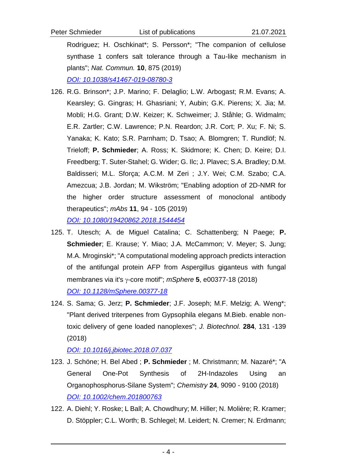Rodriguez; H. Oschkinat\*; S. Persson\*; "The companion of cellulose synthase 1 confers salt tolerance through a Tau-like mechanism in plants"; *Nat. Commun.* **10**, 875 (2019)

*[DOI: 10.1038/s41467-019-08780-3](https://doi.org/10.1038/s41467-019-08780-3)*

- 126. R.G. Brinson\*; J.P. Marino; F. Delaglio; L.W. Arbogast; R.M. Evans; A. Kearsley; G. Gingras; H. Ghasriani; Y, Aubin; G.K. Pierens; X. Jia; M. Mobli; H.G. Grant; D.W. Keizer; K. Schweimer; J. Ståhle; G. Widmalm; E.R. Zartler; C.W. Lawrence; P.N. Reardon; J.R. Cort; P. Xu; F. Ni; S. Yanaka; K. Kato; S.R. Parnham; D. Tsao; A. Blomgren; T. Rundlöf; N. Trieloff; **P. Schmieder**; A. Ross; K. Skidmore; K. Chen; D. Keire; D.I. Freedberg; T. Suter-Stahel; G. Wider; G. Ilc; J. Plavec; S.A. Bradley; D.M. Baldisseri; M.L. Sforça; A.C.M. M Zeri ; J.Y. Wei; C.M. Szabo; C.A. Amezcua; J.B. Jordan; M. Wikström; "Enabling adoption of 2D-NMR for the higher order structure assessment of monoclonal antibody therapeutics"; *mAbs* **11**, 94 - 105 (2019) *[DOI: 10.1080/19420862.2018.1544454](https://doi.org/10.1080/19420862.2018.1544454)*
- 125. T. Utesch; A. de Miguel Catalina; C. Schattenberg; N Paege; **P. Schmieder**; E. Krause; Y. Miao; J.A. McCammon; V. Meyer; S. Jung; M.A. Mroginski\*; "A computational modeling approach predicts interaction of the antifungal protein AFP from Aspergillus giganteus with fungal membranes via it's y-core motif"; *mSphere* 5, e00377-18 (2018) *[DOI: 10.1128/mSphere.00377-18](https://doi.org/10.1128/mSphere.00377-18)*
- 124. S. Sama; G. Jerz; **P. Schmieder**; J.F. Joseph; M.F. Melzig; A. Weng\*; "Plant derived triterpenes from Gypsophila elegans M.Bieb. enable nontoxic delivery of gene loaded nanoplexes"; *J. Biotechnol.* **284**, 131 -139 (2018)

*[DOI: 10.1016/j.jbiotec.2018.07.037](https://doi.org/10.1016/j.jbiotec.2018.07.037)*

- 123. J. Schöne; H. Bel Abed ; **P. Schmieder** ; M. Christmann; M. Nazaré\*; "A General One-Pot Synthesis of 2H-Indazoles Using an Organophosphorus-Silane System"; *Chemistry* **24**, 9090 - 9100 (2018) *[DOI: 10.1002/chem.201800763](https://doi.org/10.1002/chem.201800763)*
- 122. A. Diehl; Y. Roske; L Ball; A. Chowdhury; M. Hiller; N. Molière; R. Kramer; D. Stöppler; C.L. Worth; B. Schlegel; M. Leidert; N. Cremer; N. Erdmann;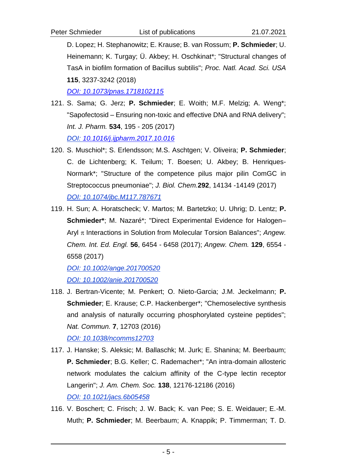D. Lopez; H. Stephanowitz; E. Krause; B. van Rossum; **P. Schmieder**; U. Heinemann; K. Turgay; Ü. Akbey; H. Oschkinat\*; "Structural changes of TasA in biofilm formation of Bacillus subtilis"; *Proc. Natl. Acad. Sci. USA* **115**, 3237-3242 (2018)

*[DOI: 10.1073/pnas.1718102115](https://doi.org/10.1073/pnas.1718102115)*

- 121. S. Sama; G. Jerz; **P. Schmieder**; E. Woith; M.F. Melzig; A. Weng\*; "Sapofectosid – Ensuring non-toxic and effective DNA and RNA delivery"; *Int. J. Pharm.* **534**, 195 - 205 (2017) *[DOI: 10.1016/j.ijpharm.2017.10.016](http://dx.doi.org/10.1016/j.ijpharm.2017.10.016)*
- 120. S. Muschiol\*; S. Erlendsson; M.S. Aschtgen; V. Oliveira; **P. Schmieder**; C. de Lichtenberg; K. Teilum; T. Boesen; U. Akbey; B. Henriques-Normark\*; "Structure of the competence pilus major pilin ComGC in Streptococcus pneumoniae"; *J. Biol. Chem.***292**, 14134 -14149 (2017) *[DOI: 10.1074/jbc.M117.787671](http://dx.doi.org/10.1074/jbc.M117.787671)*
- 119. H. Sun; A. Horatscheck; V. Martos; M. Bartetzko; U. Uhrig; D. Lentz; **P. Schmieder\***; M. Nazaré\*; "Direct Experimental Evidence for Halogen– Aryl π Interactions in Solution from Molecular Torsion Balances"; *Angew. Chem. Int. Ed. Engl.* **56**, 6454 - 6458 (2017); *Angew. Chem.* **129**, 6554 - 6558 (2017)

*[DOI: 10.1002/ange.201700520](http://dx.doi.org/10.1002/ange.201700520) [DOI: 10.1002/anie.201700520](http://dx.doi.org/10.1002/ange.201700520)*

- 118. J. Bertran-Vicente; M. Penkert; O. Nieto-Garcia; J.M. Jeckelmann; **P. Schmieder**; E. Krause; C.P. Hackenberger\*; "Chemoselective synthesis and analysis of naturally occurring phosphorylated cysteine peptides"; *Nat. Commun.* **7**, 12703 (2016) *[DOI: 10.1038/ncomms12703](http://dx.doi.org/10.1038/ncomms12703)*
- 117. J. Hanske; S. Aleksic; M. Ballaschk; M. Jurk; E. Shanina; M. Beerbaum; **P. Schmieder**; B.G. Keller; C. Rademacher\*; "An intra-domain allosteric network modulates the calcium affinity of the C-type lectin receptor Langerin"; *J. Am. Chem. Soc.* **138**, 12176-12186 (2016) *[DOI: 10.1021/jacs.6b05458](http://dx.doi.org/10.1021/jacs.6b05458)*
- 116. V. Boschert; C. Frisch; J. W. Back; K. van Pee; S. E. Weidauer; E.-M. Muth; **P. Schmieder**; M. Beerbaum; A. Knappik; P. Timmerman; T. D.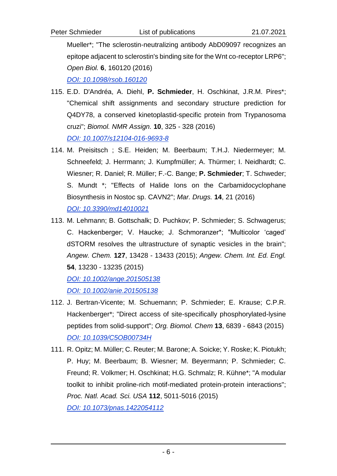Mueller\*; "The sclerostin-neutralizing antibody AbD09097 recognizes an epitope adjacent to sclerostin's binding site for the Wnt co-receptor LRP6"; *Open Biol.* **6**, 160120 (2016)

*[DOI: 10.1098/rsob.160120](http://dx.doi.org/10.1098/rsob.160120)*

- 115. E.D. D'Andréa, A. Diehl, **P. Schmieder**, H. Oschkinat, J.R.M. Pires\*; "Chemical shift assignments and secondary structure prediction for Q4DY78, a conserved kinetoplastid-specific protein from Trypanosoma cruzi"; *Biomol. NMR Assign.* **10**, 325 - 328 (2016) *[DOI: 10.1007/s12104-016-9693-8](http://dx.doi.org/10.1007/s12104-016-9693-8)*
- 114. M. Preisitsch ; S.E. Heiden; M. Beerbaum; T.H.J. Niedermeyer; M. Schneefeld; J. Herrmann; J. Kumpfmüller; A. Thürmer; I. Neidhardt; C. Wiesner; R. Daniel; R. Müller; F.-C. Bange; **P. Schmieder**; T. Schweder; S. Mundt \*; "Effects of Halide Ions on the Carbamidocyclophane Biosynthesis in Nostoc sp. CAVN2"; *Mar. Drugs.* **14**, 21 (2016) *[DOI: 10.3390/md14010021](http://dx.doi.org/10.3390/md14010021)*
- 113. M. Lehmann; B. Gottschalk; D. Puchkov; P. Schmieder; S. Schwagerus; C. Hackenberger; V. Haucke; J. Schmoranzer\*; "Multicolor 'caged' dSTORM resolves the ultrastructure of synaptic vesicles in the brain"; *Angew. Chem.* **127**, 13428 - 13433 (2015); *Angew. Chem. Int. Ed. Engl.* **54**, 13230 - 13235 (2015)

*[DOI: 10.1002/ange.201505138](http://dx.doi.org/10.1002/ange.201505138) [DOI: 10.1002/anie.201505138](http://dx.doi.org/10.1002/anie.201505138)*

- 112. J. Bertran-Vicente; M. Schuemann; P. Schmieder; E. Krause; C.P.R. Hackenberger\*; "Direct access of site-specifically phosphorylated-lysine peptides from solid-support"; *Org. Biomol. Chem* **13**, 6839 - 6843 (2015) *[DOI: 10.1039/C5OB00734H](http://dx.doi.org/10.1039/C5OB00734H)*
- 111. R. Opitz; M. Müller; C. Reuter; M. Barone; A. Soicke; Y. Roske; K. Piotukh; P. Huy; M. Beerbaum; B. Wiesner; M. Beyermann; P. Schmieder; C. Freund; R. Volkmer; H. Oschkinat; H.G. Schmalz; R. Kühne\*; "A modular toolkit to inhibit proline-rich motif-mediated protein-protein interactions"; *Proc. Natl. Acad. Sci. USA* **112**, 5011-5016 (2015) *[DOI: 10.1073/pnas.1422054112](http://dx.doi.org/10.1073/pnas.1422054112)*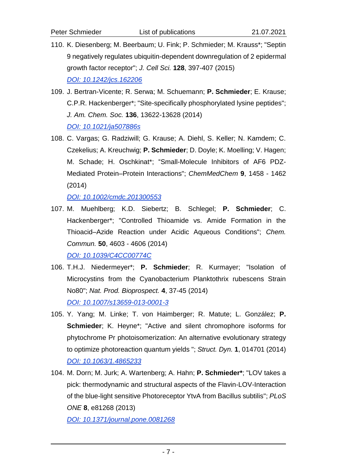- 110. K. Diesenberg; M. Beerbaum; U. Fink; P. Schmieder; M. Krauss\*; "Septin 9 negatively regulates ubiquitin-dependent downregulation of 2 epidermal growth factor receptor"; *J. Cell Sci.* **128**, 397-407 (2015) *[DOI: 10.1242/jcs.162206](http://dx.doi.org/10.1242/jcs.162206)*
- 109. J. Bertran-Vicente; R. Serwa; M. Schuemann; **P. Schmieder**; E. Krause; C.P.R. Hackenberger\*; "Site-specifically phosphorylated lysine peptides"; *J. Am. Chem. Soc.* **136**, 13622-13628 (2014) *[DOI: 10.1021/ja507886s](http://dx.doi.org/10.1021/ja507886s)*
- 108. C. Vargas; G. Radziwill; G. Krause; A. Diehl, S. Keller; N. Kamdem; C. Czekelius; A. Kreuchwig; **P. Schmieder**; D. Doyle; K. Moelling; V. Hagen; M. Schade; H. Oschkinat\*; "Small-Molecule Inhibitors of AF6 PDZ-Mediated Protein–Protein Interactions"; *ChemMedChem* **9**, 1458 - 1462 (2014)

*[DOI: 10.1002/cmdc.201300553](http://dx.doi.org/10.1002/cmdc.201300553)*

107. M. Muehlberg; K.D. Siebertz; B. Schlegel; **P. Schmieder**; C. Hackenberger\*; "Controlled Thioamide vs. Amide Formation in the Thioacid–Azide Reaction under Acidic Aqueous Conditions"; *Chem. Commun.* **50**, 4603 - 4606 (2014)

*[DOI: 10.1039/C4CC00774C](http://dx.doi.org/10.1039/C4CC00774C)*

- 106. T.H.J. Niedermeyer\*; **P. Schmieder**; R. Kurmayer; "Isolation of Microcystins from the Cyanobacterium Planktothrix rubescens Strain No80"; *Nat. Prod. Bioprospect.* **4**, 37-45 (2014) *[DOI: 10.1007/s13659-013-0001-3](http://dx.doi.org/10.1007/s13659-013-0001-3)*
- 105. Y. Yang; M. Linke; T. von Haimberger; R. Matute; L. González; **P. Schmieder**; K. Heyne<sup>\*</sup>; "Active and silent chromophore isoforms for phytochrome Pr photoisomerization: An alternative evolutionary strategy to optimize photoreaction quantum yields "; *Struct. Dyn.* **1**, 014701 (2014) *[DOI: 10.1063/1.4865233](http://dx.doi.org/10.1063/1.4865233)*
- 104. M. Dorn; M. Jurk; A. Wartenberg; A. Hahn; **P. Schmieder\***; "LOV takes a pick: thermodynamic and structural aspects of the Flavin-LOV-Interaction of the blue-light sensitive Photoreceptor YtvA from Bacillus subtilis"; *PLoS ONE* **8**, e81268 (2013)

*[DOI: 10.1371/journal.pone.0081268](http://dx.doi.org/10.1371/journal.pone.0081268)*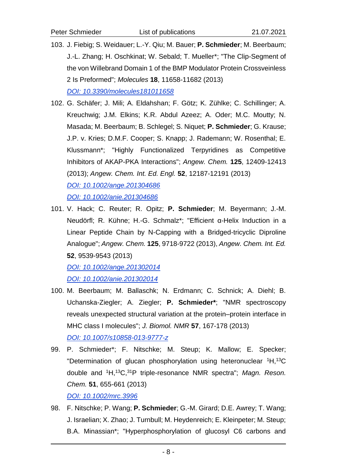- 103. J. Fiebig; S. Weidauer; L.-Y. Qiu; M. Bauer; **P. Schmieder**; M. Beerbaum; J.-L. Zhang; H. Oschkinat; W. Sebald; T. Mueller\*; "The Clip-Segment of the von Willebrand Domain 1 of the BMP Modulator Protein Crossveinless 2 Is Preformed"; *Molecules* **18**, 11658-11682 (2013) *[DOI: 10.3390/molecules181011658](http://dx.doi.org/10.3390/molecules181011658)*
- 102. G. Schäfer; J. Mili; A. Eldahshan; F. Götz; K. Zühlke; C. Schillinger; A. Kreuchwig; J.M. Elkins; K.R. Abdul Azeez; A. Oder; M.C. Moutty; N. Masada; M. Beerbaum; B. Schlegel; S. Niquet; **P. Schmieder**; G. Krause; J.P. v. Kries; D.M.F. Cooper; S. Knapp; J. Rademann; W. Rosenthal; E. Klussmann\*; "Highly Functionalized Terpyridines as Competitive Inhibitors of AKAP-PKA Interactions"; *Angew. Chem.* **125**, 12409-12413 (2013); *Angew. Chem. Int. Ed. Engl.* **52**, 12187-12191 (2013) *[DOI: 10.1002/ange.201304686](http://dx.doi.org/10.1002/ange.201304686) [DOI: 10.1002/anie.201304686](http://dx.doi.org/10.1002/anie.201304686)*
- 101. V. Hack; C. Reuter; R. Opitz; **P. Schmieder**; M. Beyermann; J.-M. Neudörfl; R. Kühne; H.-G. Schmalz\*; "Efficient α-Helix Induction in a Linear Peptide Chain by N-Capping with a Bridged-tricyclic Diproline Analogue"; *Angew. Chem.* **125**, 9718-9722 (2013), *Angew. Chem. Int. Ed.*  **52**, 9539-9543 (2013)

*[DOI: 10.1002/ange.201302014](http://dx.doi.org/10.1002/ange.201302014) [DOI: 10.1002/anie.201302014](http://dx.doi.org/10.1002/anie.201302014)*

- 100. M. Beerbaum; M. Ballaschk; N. Erdmann; C. Schnick; A. Diehl; B. Uchanska-Ziegler; A. Ziegler; **P. Schmieder\***; "NMR spectroscopy reveals unexpected structural variation at the protein–protein interface in MHC class I molecules"; *J. Biomol. NMR* **57**, 167-178 (2013) *[DOI: 10.1007/s10858-013-9777-z](http://dx.doi.org/10.1007/s10858-013-9777-z)*
- 99. P. Schmieder\*; F. Nitschke; M. Steup; K. Mallow; E. Specker; "Determination of glucan phosphorylation using heteronuclear <sup>1</sup>H,<sup>13</sup>C double and <sup>1</sup>H,<sup>13</sup>C,<sup>31</sup>P triple-resonance NMR spectra"; *Magn. Reson. Chem.* **51**, 655-661 (2013)

*[DOI: 10.1002/mrc.3996](http://dx.doi.org/10.1002/mrc.3996)*

98. F. Nitschke; P. Wang; **P. Schmieder**; G.-M. Girard; D.E. Awrey; T. Wang; J. Israelian; X. Zhao; J. Turnbull; M. Heydenreich; E. Kleinpeter; M. Steup; B.A. Minassian\*; "Hyperphosphorylation of glucosyl C6 carbons and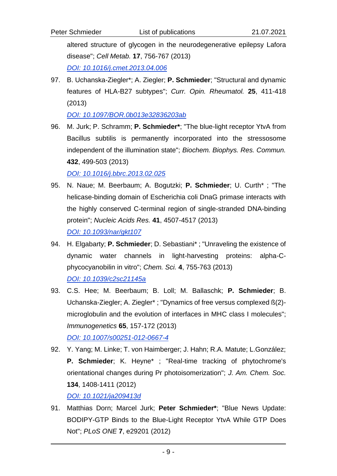altered structure of glycogen in the neurodegenerative epilepsy Lafora disease"; *Cell Metab.* **17**, 756-767 (2013) *[DOI: 10.1016/j.cmet.2013.04.006](http://dx.doi.org/10.1016/j.cmet.2013.04.006)*

97. B. Uchanska-Ziegler\*; A. Ziegler; **P. Schmieder**; "Structural and dynamic features of HLA-B27 subtypes"; *Curr. Opin. Rheumatol.* **25**, 411-418 (2013)

*[DOI: 10.1097/BOR.0b013e32836203ab](http://dx.doi.org/10.1097/BOR.0b013e32836203ab)*

96. M. Jurk; P. Schramm; **P. Schmieder\***; "The blue-light receptor YtvA from Bacillus subtilis is permanently incorporated into the stressosome independent of the illumination state"; *Biochem. Biophys. Res. Commun.* **432**, 499-503 (2013)

*[DOI: 10.1016/j.bbrc.2013.02.025](http://dx.doi.org/10.1016/j.bbrc.2013.02.025)* 

- 95. N. Naue; M. Beerbaum; A. Bogutzki; **P. Schmieder**; U. Curth\* ; "The helicase-binding domain of Escherichia coli DnaG primase interacts with the highly conserved C-terminal region of single-stranded DNA-binding protein"; *Nucleic Acids Res.* **41**, 4507-4517 (2013) *[DOI: 10.1093/nar/gkt107](http://dx.doi.org/10.1093/nar/gkt107)*
- 94. H. Elgabarty; **P. Schmieder**; D. Sebastiani\* ; "Unraveling the existence of dynamic water channels in light-harvesting proteins: alpha-Cphycocyanobilin in vitro"; *Chem. Sci.* **4**, 755-763 (2013) *[DOI: 10.1039/c2sc21145a](http://dx.doi.org/10.1039/c2sc21145a)*
- 93. C.S. Hee; M. Beerbaum; B. Loll; M. Ballaschk; **P. Schmieder**; B. Uchanska-Ziegler; A. Ziegler\* ; "Dynamics of free versus complexed ß(2) microglobulin and the evolution of interfaces in MHC class I molecules"; *Immunogenetics* **65**, 157-172 (2013) *[DOI: 10.1007/s00251-012-0667-4](http://dx.doi.org/10.1007/s00251-012-0667-4)*
- 92. Y. Yang; M. Linke; T. von Haimberger; J. Hahn; R.A. Matute; L.González; **P. Schmieder**; K. Heyne\* ; "Real-time tracking of phytochrome's orientational changes during Pr photoisomerization"; *J. Am. Chem. Soc.* **134**, 1408-1411 (2012)

*[DOI: 10.1021/ja209413d](http://dx.doi.org/10.1021/ja209413d)*

91. Matthias Dorn; Marcel Jurk; **Peter Schmieder\***; "Blue News Update: BODIPY-GTP Binds to the Blue-Light Receptor YtvA While GTP Does Not"; *PLoS ONE* **7**, e29201 (2012)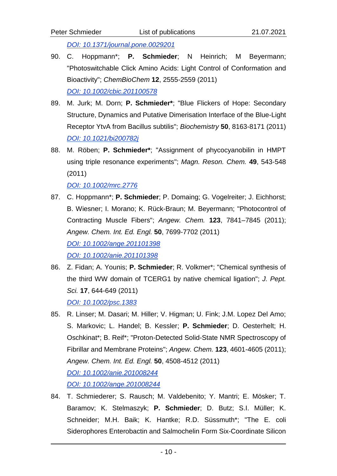- 90. C. Hoppmann\*; **P. Schmieder**; N Heinrich; M Beyermann; "Photoswitchable Click Amino Acids: Light Control of Conformation and Bioactivity"; *ChemBioChem* **12**, 2555-2559 (2011) *DOI: [10.1002/cbic.201100578](http://dx.doi.org/10.1002/cbic.201100578)*
- 89. M. Jurk; M. Dorn; **P. Schmieder\***; "Blue Flickers of Hope: Secondary Structure, Dynamics and Putative Dimerisation Interface of the Blue-Light Receptor YtvA from Bacillus subtilis"; *Biochemistry* **50**, 8163-8171 (2011) *DOI: [10.1021/bi200782j](http://dx.doi.org/10.1021/bi200782j)*
- 88. M. Röben; **P. Schmieder\***; "Assignment of phycocyanobilin in HMPT using triple resonance experiments"; *Magn. Reson. Chem.* **49**, 543-548 (2011)

*[DOI: 10.1002/mrc.2776](http://dx.doi.org/10.1002/mrc.2776)*

- 87. C. Hoppmann\*; **P. Schmieder**; P. Domaing; G. Vogelreiter; J. Eichhorst; B. Wiesner; I. Morano; K. Rück-Braun; M. Beyermann; "Photocontrol of Contracting Muscle Fibers"; *Angew. Chem.* **123**, 7841–7845 (2011); *Angew. Chem. Int. Ed. Engl.* **50**, 7699-7702 (2011) *[DOI: 10.1002/ange.201101398](http://dx.doi.org/10.1002/ange.201101398) [DOI: 10.1002/anie.201101398](http://dx.doi.org/10.1002/anie.201101398)*
- 86. Z. Fidan; A. Younis; **P. Schmieder**; R. Volkmer\*; "Chemical synthesis of the third WW domain of TCERG1 by native chemical ligation"; *J. Pept. Sci.* **17**, 644-649 (2011) *[DOI: 10.1002/psc.1383](http://dx.doi.org/10.1002/psc.1383)*
- 85. R. Linser; M. Dasari; M. Hiller; V. Higman; U. Fink; J.M. Lopez Del Amo; S. Markovic; L. Handel; B. Kessler; **P. Schmieder**; D. Oesterhelt; H. Oschkinat\*; B. Reif\*; "Proton-Detected Solid-State NMR Spectroscopy of Fibrillar and Membrane Proteins"; *Angew. Chem.* **123**, 4601-4605 (2011); *Angew. Chem. Int. Ed. Engl.* **50**, 4508-4512 (2011) *[DOI: 10.1002/anie.201008244](http://dx.doi.org/10.1002/anie.201008244) [DOI: 10.1002/ange.201008244](http://dx.doi.org/10.1002/ange.201008244)*
- 84. T. Schmiederer; S. Rausch; M. Valdebenito; Y. Mantri; E. Mösker; T. Baramov; K. Stelmaszyk; **P. Schmieder**; D. Butz; S.I. Müller; K. Schneider; M.H. Baik; K. Hantke; R.D. Süssmuth\*; "The E. coli Siderophores Enterobactin and Salmochelin Form Six-Coordinate Silicon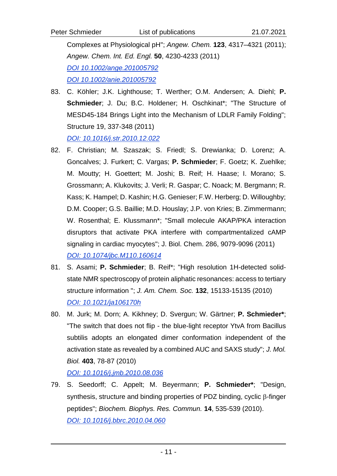Complexes at Physiological pH"; *Angew. Chem.* **123**, 4317–4321 (2011); *Angew. Chem. Int. Ed. Engl.* **50**, 4230-4233 (2011) *[DOI 10.1002/ange.201005792](http://dx.doi.org/10.1002/ange.201005792) [DOI 10.1002/anie.201005792](http://dx.doi.org/10.1002/anie.201005792)*

83. C. Köhler; J.K. Lighthouse; T. Werther; O.M. Andersen; A. Diehl; **P. Schmieder**; J. Du; B.C. Holdener; H. Oschkinat\*; "The Structure of MESD45-184 Brings Light into the Mechanism of LDLR Family Folding"; Structure 19, 337-348 (2011)

*[DOI: 10.1016/j.str.2010.12.022](http://dx.doi.org/10.1016/j.str.2010.12.022)*

- 82. F. Christian; M. Szaszak; S. Friedl; S. Drewianka; D. Lorenz; A. Goncalves; J. Furkert; C. Vargas; **P. Schmieder**; F. Goetz; K. Zuehlke; M. Moutty; H. Goettert; M. Joshi; B. Reif; H. Haase; I. Morano; S. Grossmann; A. Klukovits; J. Verli; R. Gaspar; C. Noack; M. Bergmann; R. Kass; K. Hampel; D. Kashin; H.G. Genieser; F.W. Herberg; D. Willoughby; D.M. Cooper; G.S. Baillie; M.D. Houslay; J.P. von Kries; B. Zimmermann; W. Rosenthal; E. Klussmann\*; "Small molecule AKAP/PKA interaction disruptors that activate PKA interfere with compartmentalized cAMP signaling in cardiac myocytes"; J. Biol. Chem. 286, 9079-9096 (2011) *[DOI: 10.1074/jbc.M110.160614](http://dx.doi.org/10.1074/jbc.M110.160614)*
- 81. S. Asami; **P. Schmieder**; B. Reif\*; "High resolution 1H-detected solidstate NMR spectroscopy of protein aliphatic resonances: access to tertiary structure information "; *J. Am. Chem. Soc.* **132**, 15133-15135 (2010) *[DOI: 10.1021/ja106170h](http://dx.doi.org/10.1021/ja106170h)*
- 80. M. Jurk; M. Dorn; A. Kikhney; D. Svergun; W. Gärtner; **P. Schmieder\***; "The switch that does not flip - the blue-light receptor YtvA from Bacillus subtilis adopts an elongated dimer conformation independent of the activation state as revealed by a combined AUC and SAXS study"; *J. Mol. Biol.* **403**, 78-87 (2010)

*[DOI: 10.1016/j.jmb.2010.08.036](http://dx.doi.org/10.1016/j.jmb.2010.08.036)*

79. S. Seedorff; C. Appelt; M. Beyermann; **P. Schmieder\***; "Design, synthesis, structure and binding properties of PDZ binding, cyclic  $\beta$ -finger peptides"; *Biochem. Biophys. Res. Commun.* **14**, 535-539 (2010). *[DOI: 10.1016/j.bbrc.2010.04.060](http://dx.doi.org/10.1016/j.bbrc.2010.04.060)*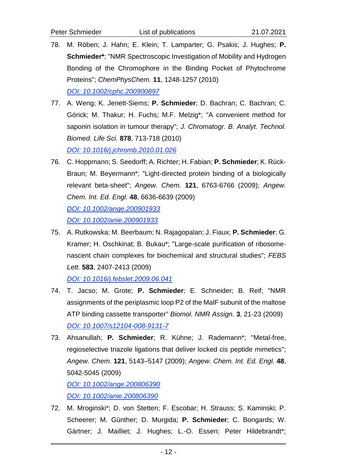- 78. M. Röben; J. Hahn; E. Klein; T. Lamparter; G. Psakis; J. Hughes; **P. Schmieder\***; "NMR Spectroscopic Investigation of Mobility and Hydrogen Bonding of the Chromophore in the Binding Pocket of Phytochrome Proteins"; *ChemPhysChem.* **11**, 1248-1257 (2010) *[DOI: 10.1002/cphc.200900897](http://dx.doi.org/10.1002/cphc.200900897)*
- 77. A. Weng; K. Jenett-Siems; **P. Schmieder**; D. Bachran; C. Bachran; C. Görick; M. Thakur; H. Fuchs; M.F. Melzig\*; "A convenient method for saponin isolation in tumour therapy"; *J. Chromatogr. B. Analyt. Technol. Biomed. Life Sci.* **878**, 713-718 (2010) *[DOI: 10.1016/j.jchromb.2010.01.026](http://dx.doi.org/10.1016/j.jchromb.2010.01.026)*
- 76. C. Hoppmann; S. Seedorff; A. Richter; H. Fabian; **P. Schmieder**; K. Rück-Braun; M. Beyermann\*; "Light-directed protein binding of a biologically relevant beta-sheet"; *Angew. Chem.* **121**, 6763-6766 (2009); *Angew. Chem. Int. Ed. Engl.* **48**, 6636-6639 (2009) *[DOI: 10.1002/ange.200901933](http://dx.doi.org/10.1002/ange.200901933) [DOI: 10.1002/anie.200901933](http://dx.doi.org/10.1002/anie.200901933)*
- 75. A. Rutkowska; M. Beerbaum; N. Rajagopalan; J. Fiaux; **P. Schmieder**; G. Kramer; H. Oschkinat; B. Bukau\*; "Large-scale purification of ribosomenascent chain complexes for biochemical and structural studies"; *FEBS Lett.* **583**, 2407-2413 (2009)

*[DOI: 10.1016/j.febslet.2009.06.041](http://dx.doi.org/10.1016/j.febslet.2009.06.041)*

- 74. T. Jacso; M. Grote; **P. Schmieder**; E. Schneider; B. Reif; "NMR assignments of the periplasmic loop P2 of the MalF subunit of the maltose ATP binding cassette transporter" *Biomol. NMR Assign.* **3**, 21-23 (2009) *[DOI: 10.1007/s12104-008-9131-7](http://dx.doi.org/10.1007/s12104-008-9131-7)*
- 73. Ahsanullah; **P. Schmieder**; R. Kühne; J. Rademann\*; "Metal-free, regioselective triazole ligations that deliver locked cis peptide mimetics"; *Angew. Chem.* **121**, 5143–5147 (2009); *Angew. Chem. Int. Ed. Engl.* **48**, 5042-5045 (2009) *[DOI: 10.1002/ange.200806390](http://dx.doi.org/10.1002/ange.200806390)*

*[DOI: 10.1002/anie.200806390](http://dx.doi.org/10.1002/anie.200806390)*

72. M. Mroginski\*; D. von Stetten; F. Escobar; H. Strauss; S. Kaminski; P. Scheerer; M. Günther; D. Murgida; **P. Schmieder**; C. Bongards; W. Gärtner; J. Mailliet; J. Hughes; L.-O. Essen; Peter Hildebrandt\*;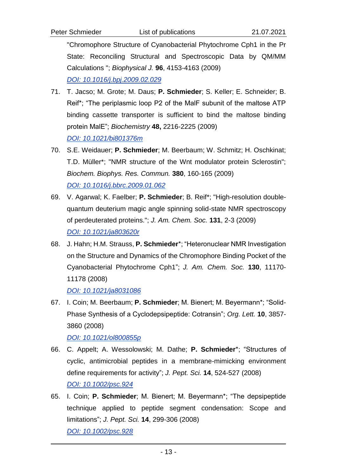- 71. T. Jacso; M. Grote; M. Daus; **P. Schmieder**; S. Keller; E. Schneider; B. Reif\*; "The periplasmic loop P2 of the MalF subunit of the maltose ATP binding cassette transporter is sufficient to bind the maltose binding protein MalE"; *Biochemistry* **48,** 2216-2225 (2009) *[DOI: 10.1021/bi801376m](http://dx.doi.org/10.1021/bi801376m)*
- 70. S.E. Weidauer; **P. Schmieder**; M. Beerbaum; W. Schmitz; H. Oschkinat; T.D. Müller\*; "NMR structure of the Wnt modulator protein Sclerostin"; *Biochem. Biophys. Res. Commun.* **380**, 160-165 (2009) *[DOI: 10.1016/j.bbrc.2009.01.062](http://dx.doi.org/10.1016/j.bbrc.2009.01.062)*
- 69. V. Agarwal; K. Faelber; **P. Schmieder**; B. Reif\*; "High-resolution doublequantum deuterium magic angle spinning solid-state NMR spectroscopy of perdeuterated proteins."; *J. Am. Chem. Soc.* **131**, 2-3 (2009) *[DOI: 10.1021/ja803620r](http://dx.doi.org/10.1021/ja803620r)*
- 68. J. Hahn; H.M. Strauss, **P. Schmieder**\*; "Heteronuclear NMR Investigation on the Structure and Dynamics of the Chromophore Binding Pocket of the Cyanobacterial Phytochrome Cph1"; *J. Am. Chem. Soc.* **130**, 11170- 11178 (2008)

*[DOI: 10.1021/ja8031086](http://dx.doi.org/10.1021/ja8031086)*

67. I. Coin; M. Beerbaum; **P. Schmieder**; M. Bienert; M. Beyermann\*; "Solid-Phase Synthesis of a Cyclodepsipeptide: Cotransin"; *Org. Lett.* **10**, 3857- 3860 (2008)

*[DOI: 10.1021/ol800855p](http://dx.doi.org/10.1021/ol800855p)*

- 66. C. Appelt; A. Wessolowski; M. Dathe; **P. Schmieder**\*; "Structures of cyclic, antimicrobial peptides in a membrane-mimicking environment define requirements for activity"; *J. Pept. Sci.* **14**, 524-527 (2008) *[DOI: 10.1002/psc.924](http://dx.doi.org/10.1002/psc.924)*
- 65. I. Coin; **P. Schmieder**; M. Bienert; M. Beyermann\*; "The depsipeptide technique applied to peptide segment condensation: Scope and limitations"; *J. Pept. Sci.* **14**, 299-306 (2008) *[DOI: 10.1002/psc.928](http://dx.doi.org/10.1002/psc.928)*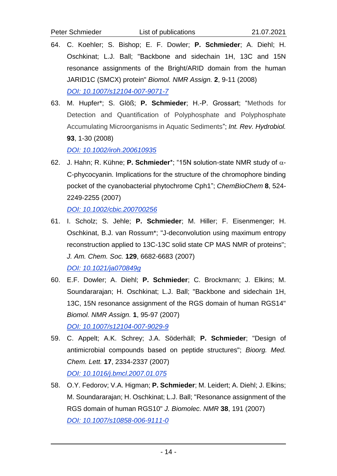- 64. C. Koehler; S. Bishop; E. F. Dowler; **P. Schmieder**; A. Diehl; H. Oschkinat; L.J. Ball; "Backbone and sidechain 1H, 13C and 15N resonance assignments of the Bright/ARID domain from the human JARID1C (SMCX) protein" *Biomol. NMR Assign.* **2**, 9-11 (2008) *[DOI: 10.1007/s12104-007-9071-7](http://dx.doi.org/10.1007/s12104-007-9071-7)*
- 63. M. Hupfer\*; S. Glöß; **P. Schmieder**; H.-P. Grossart; "Methods for Detection and Quantification of Polyphosphate and Polyphosphate Accumulating Microorganisms in Aquatic Sediments"; *Int. Rev. Hydrobiol.* **93**, 1-30 (2008)

*[DOI: 10.1002/iroh.200610935](http://dx.doi.org/10.1002/iroh.200610935)*

62. J. Hahn; R. Kühne; P. Schmieder<sup>\*</sup>; "15N solution-state NMR study of  $\alpha$ -C-phycocyanin. Implications for the structure of the chromophore binding pocket of the cyanobacterial phytochrome Cph1"; *ChemBioChem* **8**, 524- 2249-2255 (2007)

*[DOI: 10.1002/cbic.200700256](http://dx.doi.org/10.1002/cbic.200700256)*

- 61. I. Scholz; S. Jehle; **P. Schmieder**; M. Hiller; F. Eisenmenger; H. Oschkinat, B.J. van Rossum\*; "J-deconvolution using maximum entropy reconstruction applied to 13C-13C solid state CP MAS NMR of proteins"; *J. Am. Chem. Soc.* **129**, 6682-6683 (2007) *[DOI: 10.1021/ja070849g](http://dx.doi.org/10.1021/ja070849g)*
- 60. E.F. Dowler; A. Diehl; **P. Schmieder**; C. Brockmann; J. Elkins; M. Soundararajan; H. Oschkinat; L.J. Ball; "Backbone and sidechain 1H, 13C, 15N resonance assignment of the RGS domain of human RGS14" *Biomol. NMR Assign.* **1**, 95-97 (2007) *[DOI: 10.1007/s12104-007-9029-9](http://dx.doi.org/10.1007/s12104-007-9029-9)*
- 59. C. Appelt; A.K. Schrey; J.A. Söderhäll; **P. Schmieder**; "Design of antimicrobial compounds based on peptide structures"; *Bioorg. Med. Chem. Lett.* **17**, 2334-2337 (2007) *[DOI: 10.1016/j.bmcl.2007.01.075](http://dx.doi.org/10.1016/j.bmcl.2007.01.075)*
- 58. O.Y. Fedorov; V.A. Higman; **P. Schmieder**; M. Leidert; A. Diehl; J. Elkins; M. Soundararajan; H. Oschkinat; L.J. Ball; "Resonance assignment of the RGS domain of human RGS10" *J. Biomolec. NMR* **38**, 191 (2007) *[DOI: 10.1007/s10858-006-9111-0](http://dx.doi.org/10.1007/s10858-006-9111-0)*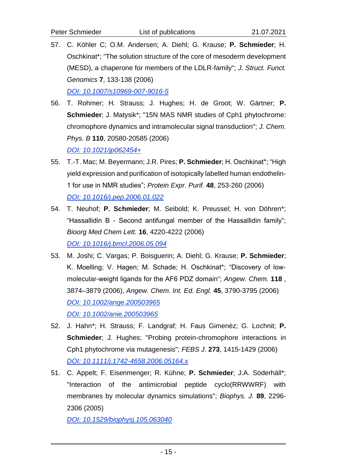- 57. C. Köhler C; O.M. Andersen; A. Diehl; G. Krause; **P. Schmieder**; H. Oschkinat\*; "The solution structure of the core of mesoderm development (MESD), a chaperone for members of the LDLR-family"; *J. Struct. Funct. Genomics* **7**, 133-138 (2006) *[DOI: 10.1007/s10969-007-9016-5](http://dx.doi.org/10.1007/s10969-007-9016-5)*
- 56. T. Rohmer; H. Strauss; J. Hughes; H. de Groot; W. Gärtner; **P. Schmieder**; J. Matysik\*; "15N MAS NMR studies of Cph1 phytochrome: chromophore dynamics and intramolecular signal transduction"; *J. Chem. Phys. B* **110**, 20580-20585 (2006) *[DOI: 10.1021/jp062454+](http://dx.doi.org/10.1021/jp062454+)*
- 55. T.-T. Mac; M. Beyermann; J.R. Pires; **P. Schmieder**; H. Oschkinat\*; "High yield expression and purification of isotopically labelled human endothelin-1 for use in NMR studies"; *Protein Expr. Purif.* **48**, 253-260 (2006) *[DOI: 10.1016/j.pep.2006.01.022](http://dx.doi.org/10.1016/j.pep.2006.01.022)*
- 54. T. Neuhof; **P. Schmieder**; M. Seibold; K. Preussel; H. von Döhren\*; "Hassallidin B - Second antifungal member of the Hassallidin family"; *Bioorg Med Chem Lett.* **16**, 4220-4222 (2006) *[DOI: 10.1016/j.bmcl.2006.05.094](http://dx.doi.org/10.1016/j.bmcl.2006.05.094)*
- 53. M. Joshi; C. Vargas; P. Boisguerin; A. Diehl; G. Krause; **P. Schmieder**; K. Moelling; V. Hagen; M. Schade; H. Oschkinat\*; "Discovery of lowmolecular-weight ligands for the AF6 PDZ domain"; *Angew. Chem.* **118** , 3874–3879 (2006), *Angew. Chem. Int. Ed. Engl.* **45**, 3790-3795 (2006) *[DOI: 10.1002/ange.200503965](http://dx.doi.org/10.1002/ange.200503965) [DOI: 10.1002/anie.200503965](http://dx.doi.org/10.1002/anie.200503965)*
- 52. J. Hahn\*; H. Strauss; F. Landgraf; H. Faus Gimenèz; G. Lochnit; **P. Schmieder**; J. Hughes; "Probing protein-chromophore interactions in Cph1 phytochrome via mutagenesis"; *FEBS J.* **273**, 1415-1429 (2006) *[DOI: 10.1111/j.1742-4658.2006.05164.x](http://dx.doi.org/10.1111/j.1742-4658.2006.05164.x)*
- 51. C. Appelt; F. Eisenmenger; R. Kühne; **P. Schmieder**; J.A. Söderhäll\*; "Interaction of the antimicrobial peptide cyclo(RRWWRF) with membranes by molecular dynamics simulations"; *Biophys. J.* **89**, 2296- 2306 (2005)

*[DOI: 10.1529/biophysj.105.063040](http://dx.doi.org/10.1529/biophysj.105.063040)*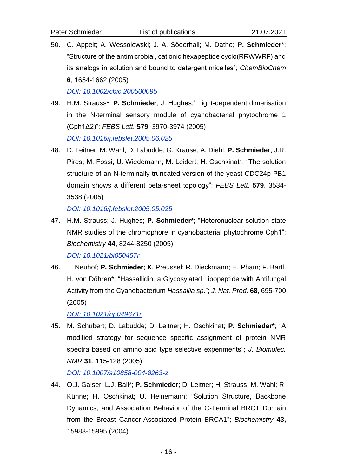50. C. Appelt; A. Wessolowski; J. A. Söderhäll; M. Dathe; **P. Schmieder**\*; "Structure of the antimicrobial, cationic hexapeptide cyclo(RRWWRF) and its analogs in solution and bound to detergent micelles"; *ChemBioChem*  **6**, 1654-1662 (2005)

*[DOI: 10.1002/cbic.200500095](http://dx.doi.org/10.1002/cbic.200500095)*

- 49. H.M. Strauss\*; **P. Schmieder**; J. Hughes;" Light-dependent dimerisation in the N-terminal sensory module of cyanobacterial phytochrome 1 (Cph1Δ2)"; *FEBS Lett.* **579**, 3970-3974 (2005) *[DOI: 10.1016/j.febslet.2005.06.025](http://dx.doi.org/10.1016/j.febslet.2005.06.025)*
- 48. D. Leitner; M. Wahl; D. Labudde; G. Krause; A. Diehl; **P. Schmieder**; J.R. Pires; M. Fossi; U. Wiedemann; M. Leidert; H. Oschkinat\*; "The solution structure of an N-terminally truncated version of the yeast CDC24p PB1 domain shows a different beta-sheet topology"; *FEBS Lett.* **579**, 3534- 3538 (2005)

*[DOI: 10.1016/j.febslet.2005.05.025](http://dx.doi.org/10.1016/j.febslet.2005.05.025)*

47. H.M. Strauss; J. Hughes; **P. Schmieder\***; "Heteronuclear solution-state NMR studies of the chromophore in cyanobacterial phytochrome Cph1"; *Biochemistry* **44,** 8244-8250 (2005)

*[DOI: 10.1021/bi050457r](http://dx.doi.org/10.1021/bi050457r)*

46. T. Neuhof; **P. Schmieder**; K. Preussel; R. Dieckmann; H. Pham; F. Bartl; H. von Döhren\*; "Hassallidin, a Glycosylated Lipopeptide with Antifungal Activity from the Cyanobacterium *Hassallia sp*."; *J. Nat. Prod.* **68**, 695-700 (2005)

*[DOI: 10.1021/np049671r](http://dx.doi.org/10.1021/np049671r)*

45. M. Schubert; D. Labudde; D. Leitner; H. Oschkinat; **P. Schmieder\***; "A modified strategy for sequence specific assignment of protein NMR spectra based on amino acid type selective experiments"; *J. Biomolec. NMR* **31**, 115-128 (2005)

*[DOI: 10.1007/s10858-004-8263-z](http://dx.doi.org/10.1007/s10858-004-8263-z)*

44. O.J. Gaiser; L.J. Ball\*; **P. Schmieder**; D. Leitner; H. Strauss; M. Wahl; R. Kühne; H. Oschkinat; U. Heinemann; "Solution Structure, Backbone Dynamics, and Association Behavior of the C-Terminal BRCT Domain from the Breast Cancer-Associated Protein BRCA1"; *Biochemistry* **43,** 15983-15995 (2004)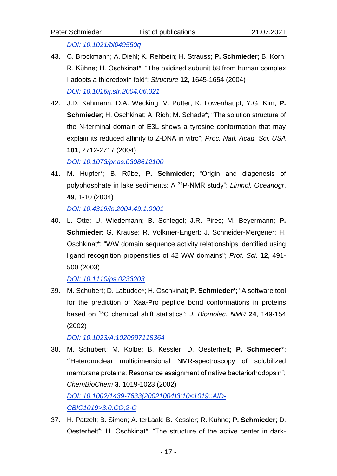*[DOI: 10.1021/bi049550q](http://dx.doi.org/10.1021/bi049550q)*

- 43. C. Brockmann; A. Diehl; K. Rehbein; H. Strauss; **P. Schmieder**; B. Korn; R. Kühne; H. Oschkinat\*; "The oxidized subunit b8 from human complex I adopts a thioredoxin fold"; *Structure* **12**, 1645-1654 (2004) *[DOI: 10.1016/j.str.2004.06.021](http://dx.doi.org/10.1016/j.str.2004.06.021)*
- 42. J.D. Kahmann; D.A. Wecking; V. Putter; K. Lowenhaupt; Y.G. Kim; **P. Schmieder**; H. Oschkinat; A. Rich; M. Schade\*; "The solution structure of the N-terminal domain of E3L shows a tyrosine conformation that may explain its reduced affinity to Z-DNA in vitro"; *Proc. Natl. Acad. Sci. USA* **101**, 2712-2717 (2004)

*[DOI: 10.1073/pnas.0308612100](http://dx.doi.org/10.1073/pnas.0308612100)*

41. M. Hupfer\*; B. Rübe, **P. Schmieder**; "Origin and diagenesis of polyphosphate in lake sediments: A <sup>31</sup>P-NMR study"; *Limnol. Oceanogr*. **49**, 1-10 (2004)

*[DOI: 10.4319/lo.2004.49.1.0001](http://dx.doi.org/10.4319/lo.2004.49.1.0001)*

40. L. Otte; U. Wiedemann; B. Schlegel; J.R. Pires; M. Beyermann; **P. Schmieder**; G. Krause; R. Volkmer-Engert; J. Schneider-Mergener; H. Oschkinat\*; "WW domain sequence activity relationships identified using ligand recognition propensities of 42 WW domains"; *Prot. Sci.* **12**, 491- 500 (2003)

*[DOI: 10.1110/ps.0233203](http://dx.doi.org/10.1110/ps.0233203)*

39. M. Schubert; D. Labudde\*; H. Oschkinat; **P. Schmieder\***; "A software tool for the prediction of Xaa-Pro peptide bond conformations in proteins based on <sup>13</sup>C chemical shift statistics"; *J. Biomolec. NMR* **24**, 149-154 (2002)

*[DOI: 10.1023/A:1020997118364](http://dx.doi.org/10.1023/A:1020997118364)*

- 38. M. Schubert; M. Kolbe; B. Kessler; D. Oesterhelt; **P. Schmieder**\*; **"**Heteronuclear multidimensional NMR-spectroscopy of solubilized membrane proteins: Resonance assignment of native bacteriorhodopsin"; *ChemBioChem* **3**, 1019-1023 (2002) *[DOI: 10.1002/1439-7633\(20021004\)3:10<1019::AID-](http://dx.doi.org/10.1002/1439-7633(20021004)3:10%3c1019::AID-CBIC1019%3e3.0.CO;2-C)[CBIC1019>3.0.CO;2-C](http://dx.doi.org/10.1002/1439-7633(20021004)3:10%3c1019::AID-CBIC1019%3e3.0.CO;2-C)*
- 37. H. Patzelt; B. Simon; A. terLaak; B. Kessler; R. Kühne; **P. Schmieder**; D. Oesterhelt\*; H. Oschkinat\*; "The structure of the active center in dark-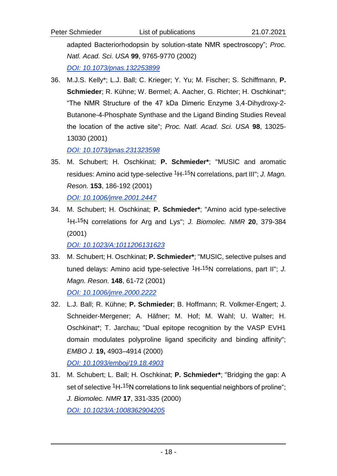Peter Schmieder List of publications 21.07.2021

adapted Bacteriorhodopsin by solution-state NMR spectroscopy"; *Proc. Natl. Acad. Sci. USA* **99**, 9765-9770 (2002)

*[DOI: 10.1073/pnas.132253899](http://dx.doi.org/10.1073/pnas.132253899)*

36. M.J.S. Kelly\*; L.J. Ball; C. Krieger; Y. Yu; M. Fischer; S. Schiffmann, **P. Schmieder**; R. Kühne; W. Bermel; A. Aacher, G. Richter; H. Oschkinat\*; "The NMR Structure of the 47 kDa Dimeric Enzyme 3,4-Dihydroxy-2- Butanone-4-Phosphate Synthase and the Ligand Binding Studies Reveal the location of the active site"; *Proc. Natl. Acad. Sci. USA* **98**, 13025- 13030 (2001)

*[DOI: 10.1073/pnas.231323598](http://dx.doi.org/10.1073/pnas.231323598)*

35. M. Schubert; H. Oschkinat; **P. Schmieder\***; "MUSIC and aromatic residues: Amino acid type-selective 1H-15N correlations, part III"; *J. Magn. Reson.* **153**, 186-192 (2001)

*[DOI: 10.1006/jmre.2001.2447](http://dx.doi.org/10.1006/jmre.2001.2447)*

34. M. Schubert; H. Oschkinat; **P. Schmieder\***; "Amino acid type-selective 1H-15N correlations for Arg and Lys"; *J. Biomolec. NMR* **20**, 379-384 (2001)

*[DOI: 10.1023/A:1011206131623](http://dx.doi.org/10.1023/A:1011206131623)*

- 33. M. Schubert; H. Oschkinat; **P. Schmieder\***; "MUSIC, selective pulses and tuned delays: Amino acid type-selective 1H-15N correlations, part II"; *J. Magn. Reson.* **148**, 61-72 (2001) *[DOI: 10.1006/jmre.2000.2222](http://dx.doi.org/10.1006/jmre.2000.2222)*
- 32. L.J. Ball; R. Kühne; **P. Schmieder**; B. Hoffmann; R. Volkmer-Engert; J. Schneider-Mergener; A. Häfner; M. Hof; M. Wahl; U. Walter; H. Oschkinat\*; T. Jarchau; "Dual epitope recognition by the VASP EVH1 domain modulates polyproline ligand specificity and binding affinity"; *EMBO J.* **19,** 4903–4914 (2000) *[DOI: 10.1093/emboj/19.18.4903](http://dx.doi.org/10.1093/emboj/19.18.4903)*
- 31. M. Schubert; L. Ball; H. Oschkinat; **P. Schmieder\***; "Bridging the gap: A set of selective <sup>1</sup>H-<sup>15</sup>N correlations to link sequential neighbors of proline"; *J. Biomolec. NMR* **17**, 331-335 (2000) *[DOI: 10.1023/A:1008362904205](http://dx.doi.org/10.1023/A:1008362904205)*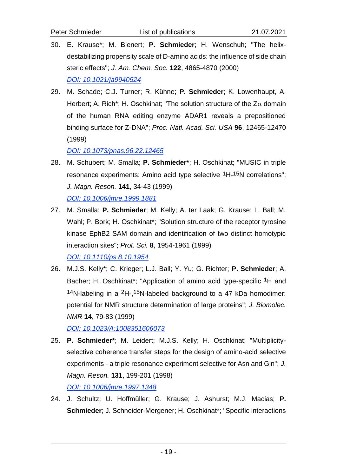- 30. E. Krause\*; M. Bienert; **P. Schmieder**; H. Wenschuh; "The helixdestabilizing propensity scale of D-amino acids: the influence of side chain steric effects"; *J. Am. Chem. Soc.* **122**, 4865-4870 (2000) *[DOI: 10.1021/ja9940524](http://dx.doi.org/10.1021/ja9940524)*
- 29. M. Schade; C.J. Turner; R. Kühne; **P. Schmieder**; K. Lowenhaupt, A. Herbert; A. Rich<sup>\*</sup>; H. Oschkinat; "The solution structure of the  $Z\alpha$  domain of the human RNA editing enzyme ADAR1 reveals a prepositioned binding surface for Z-DNA"; *Proc. Natl. Acad. Sci. USA* **96**, 12465-12470 (1999)

*[DOI: 10.1073/pnas.96.22.12465](http://dx.doi.org/10.1073/pnas.96.22.12465)*

- 28. M. Schubert; M. Smalla; **P. Schmieder\***; H. Oschkinat; "MUSIC in triple resonance experiments: Amino acid type selective <sup>1</sup>H-<sup>15</sup>N correlations"; *J. Magn. Reson.* **141**, 34-43 (1999) *[DOI: 10.1006/jmre.1999.1881](http://dx.doi.org/10.1006/jmre.1999.1881)*
- 27. M. Smalla; **P. Schmieder**; M. Kelly; A. ter Laak; G. Krause; L. Ball; M. Wahl; P. Bork; H. Oschkinat\*; "Solution structure of the receptor tyrosine kinase EphB2 SAM domain and identification of two distinct homotypic interaction sites"; *Prot. Sci.* **8**, 1954-1961 (1999) *[DOI: 10.1110/ps.8.10.1954](http://dx.doi.org/10.1110/ps.8.10.1954)*
- 26. M.J.S. Kelly\*; C. Krieger; L.J. Ball; Y. Yu; G. Richter; **P. Schmieder**; A. Bacher; H. Oschkinat\*; "Application of amino acid type-specific 1H and 14N-labeling in a  $2H$ -, 15N-labeled background to a 47 kDa homodimer: potential for NMR structure determination of large proteins"; *J. Biomolec. NMR* **14**, 79-83 (1999)

*[DOI: 10.1023/A:1008351606073](http://dx.doi.org/10.1023/A:1008351606073)*

- 25. **P. Schmieder\***; M. Leidert; M.J.S. Kelly; H. Oschkinat; "Multiplicityselective coherence transfer steps for the design of amino-acid selective experiments - a triple resonance experiment selective for Asn and Gln"; *J. Magn. Reson.* **131**, 199-201 (1998) *[DOI: 10.1006/jmre.1997.1348](http://dx.doi.org/10.1006/jmre.1997.1348)*
- 24. J. Schultz; U. Hoffmüller; G. Krause; J. Ashurst; M.J. Macias; **P. Schmieder**; J. Schneider-Mergener; H. Oschkinat\*; "Specific interactions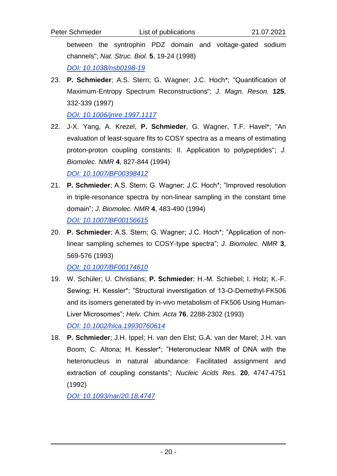between the syntrophin PDZ domain and voltage-gated sodium channels"; *Nat. Struc. Biol.* **5**, 19-24 (1998)

*[DOI: 10.1038/nsb0198-19](http://dx.doi.org/10.1038/nsb0198-19)*

23. **P. Schmieder**; A.S. Stern; G. Wagner; J.C. Hoch\*; "Quantification of Maximum-Entropy Spectrum Reconstructions"; *J. Magn. Reson.* **125**, 332-339 (1997)

*[DOI: 10.1006/jmre.1997.1117](http://dx.doi.org/10.1006/jmre.1997.1117)*

22. J-X. Yang, A. Krezel, **P. Schmieder**, G. Wagner, T.F. Havel\*; "An evaluation of least-square fits to COSY spectra as a means of estimating proton-proton coupling constants: II. Application to polypeptides"; *J. Biomolec. NMR* **4**, 827-844 (1994)

*[DOI: 10.1007/BF00398412](http://dx.doi.org/10.1007/BF00398412)*

- 21. **P. Schmieder**; A.S. Stern; G. Wagner; J.C. Hoch\*; "Improved resolution in triple-resonance spectra by non-linear sampling in the constant time domain"; *J. Biomolec. NMR* **4**, 483-490 (1994) *[DOI: 10.1007/BF00156615](http://dx.doi.org/10.1007/BF00156615)*
- 20. **P. Schmieder**; A.S. Stern; G. Wagner; J.C. Hoch\*; "Application of nonlinear sampling schemes to COSY-type spectra"; *J. Biomolec. NMR* **3**, 569-576 (1993)

*[DOI: 10.1007/BF00174610](http://dx.doi.org/10.1007/BF00174610)*

- 19. W. Schüler; U. Christians; **P. Schmieder**; H.-M. Schiebel; I. Holz; K.-F. Sewing; H. Kessler\*; "Structural inverstigation of 13-O-Demethyl-FK506 and its isomers generated by in-vivo metabolism of FK506 Using Human-Liver Microsomes"; *Helv. Chim. Acta* **76**, 2288-2302 (1993) *[DOI: 10.1002/hlca.19930760614](http://dx.doi.org/10.1002/hlca.19930760614)*
- 18. **P. Schmieder**; J.H. Ippel; H. van den Elst; G.A. van der Marel; J.H. van Boom; C. Altona; H. Kessler\*; "Heteronuclear NMR of DNA with the heteronucleus in natural abundance: Facilitated assignment and extraction of coupling constants"; *Nucleic Acids Res.* **20**, 4747-4751 (1992)

*[DOI: 10.1093/nar/20.18.4747](http://dx.doi.org/10.1093/nar/20.18.4747)*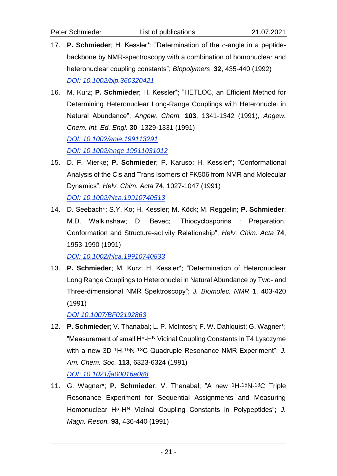- 17. **P. Schmieder**; H. Kessler<sup>\*</sup>; "Determination of the  $\phi$ -angle in a peptidebackbone by NMR-spectroscopy with a combination of homonuclear and heteronuclear coupling constants"; *Biopolymers* **32**, 435-440 (1992) *[DOI: 10.1002/bip.360320421](http://dx.doi.org/10.1002/bip.360320421)*
- 16. M. Kurz; **P. Schmieder**; H. Kessler\*; "HETLOC, an Efficient Method for Determining Heteronuclear Long-Range Couplings with Heteronuclei in Natural Abundance"; *Angew. Chem.* **103**, 1341-1342 (1991), *Angew. Chem. Int. Ed. Engl.* **30**, 1329-1331 (1991) *[DOI: 10.1002/anie.199113291](http://dx.doi.org/10.1002/anie.199113291) [DOI: 10.1002/ange.19911031012](http://dx.doi.org/10.1002/ange.19911031012)*
- 15. D. F. Mierke; **P. Schmieder**; P. Karuso; H. Kessler\*; "Conformational Analysis of the Cis and Trans Isomers of FK506 from NMR and Molecular Dynamics"; *Helv. Chim. Acta* **74**, 1027-1047 (1991) *[DOI: 10.1002/hlca.19910740513](http://dx.doi.org/10.1002/hlca.19910740513)*
- 14. D. Seebach\*; S.Y. Ko; H. Kessler; M. Köck; M. Reggelin; **P. Schmieder**; M.D. Walkinshaw; D. Bevec; "Thiocyclosporins : Preparation, Conformation and Structure-activity Relationship"; *Helv. Chim. Acta* **74**, 1953-1990 (1991)

*[DOI: 10.1002/hlca.19910740833](http://dx.doi.org/10.1002/hlca.19910740833)*

13. **P. Schmieder**; M. Kurz; H. Kessler\*; "Determination of Heteronuclear Long Range Couplings to Heteronuclei in Natural Abundance by Two- and Three-dimensional NMR Spektroscopy"; *J. Biomolec. NMR* **1**, 403-420 (1991)

*[DOI 10.1007/BF02192863](http://dx.doi.org/10.1007/BF02192863)*

- 12. **P. Schmieder**; V. Thanabal; L. P. McIntosh; F. W. Dahlquist; G. Wagner\*; "Measurement of small  $H^{\alpha}$ -HN Vicinal Coupling Constants in T4 Lysozyme with a new 3D <sup>1</sup>H-<sup>15</sup>N-<sup>13</sup>C Quadruple Resonance NMR Experiment"; J. *Am. Chem. Soc.* **113**, 6323-6324 (1991) *[DOI: 10.1021/ja00016a088](http://dx.doi.org/10.1021/ja00016a088)*
- 11. G. Wagner\*; **P. Schmieder**; V. Thanabal; "A new 1H-15N-13C Triple Resonance Experiment for Sequential Assignments and Measuring Homonuclear H<sup>a</sup>-H<sup>N</sup> Vicinal Coupling Constants in Polypeptides"; J. *Magn. Reson.* **93**, 436-440 (1991)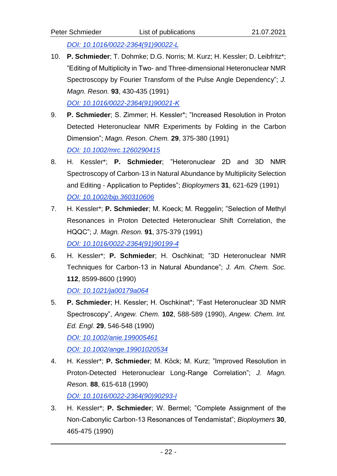10. **P. Schmieder**; T. Dohmke; D.G. Norris; M. Kurz; H. Kessler; D. Leibfritz\*; "Editing of Multiplicity in Two- and Three-dimensional Heteronuclear NMR Spectroscopy by Fourier Transform of the Pulse Angle Dependency"; *J. Magn. Reson.* **93**, 430-435 (1991)

*[DOI: 10.1016/0022-2364\(91\)90021-K](http://dx.doi.org/10.1016/0022-2364(91)90021-K)*

- 9. **P. Schmieder**; S. Zimmer; H. Kessler\*; "Increased Resolution in Proton Detected Heteronuclear NMR Experiments by Folding in the Carbon Dimension"; *Magn. Reson. Chem.* **29**, 375-380 (1991) *[DOI: 10.1002/mrc.1260290415](http://dx.doi.org/10.1002/mrc.1260290415)*
- 8. H. Kessler\*; **P. Schmieder**; "Heteronuclear 2D and 3D NMR Spectroscopy of Carbon-13 in Natural Abundance by Multiplicity Selection and Editing - Application to Peptides"; *Bioploymers* **31**, 621-629 (1991) *[DOI: 10.1002/bip.360310606](http://dx.doi.org/10.1002/bip.360310606)*
- 7. H. Kessler\*; **P. Schmieder**; M. Koeck; M. Reggelin; "Selection of Methyl Resonances in Proton Detected Heteronuclear Shift Correlation, the HQQC"; *J. Magn. Reson.* **91**, 375-379 (1991) *[DOI: 10.1016/0022-2364\(91\)90199-4](http://dx.doi.org/10.1016/0022-2364(91)90199-4)*
- 6. H. Kessler\*; **P. Schmieder**; H. Oschkinat; "3D Heteronuclear NMR Techniques for Carbon-13 in Natural Abundance"; *J. Am. Chem. Soc.* **112**, 8599-8600 (1990) *[DOI: 10.1021/ja00179a064](http://dx.doi.org/10.1021/ja00179a064)*
- 5. **P. Schmieder**; H. Kessler; H. Oschkinat\*; "Fast Heteronuclear 3D NMR Spectroscopy", *Angew. Chem.* **102**, 588-589 (1990), *Angew. Chem. Int. Ed. Engl.* **29**, 546-548 (1990) *[DOI: 10.1002/anie.199005461](http://dx.doi.org/10.1002/anie.199005461) [DOI: 10.1002/ange.19901020534](http://dx.doi.org/10.1002/ange.19901020534)*
- 4. H. Kessler\*; **P. Schmieder**; M. Köck; M. Kurz; "Improved Resolution in Proton-Detected Heteronuclear Long-Range Correlation"; *J. Magn. Reson.* **88**, 615-618 (1990) *[DOI: 10.1016/0022-2364\(90\)90293-I](http://dx.doi.org/10.1016/0022-2364(90)90293-I)*

3. H. Kessler\*; **P. Schmieder**; W. Bermel; "Complete Assignment of the Non-Cabonylic Carbon-13 Resonances of Tendamistat"; *Bioploymers* **30**, 465-475 (1990)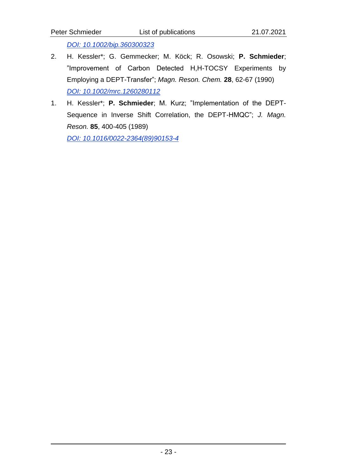- "Improvement of Carbon Detected H,H-TOCSY Experiments by Employing a DEPT-Transfer"; *Magn. Reson. Chem.* **28**, 62-67 (1990) *[DOI: 10.1002/mrc.1260280112](http://dx.doi.org/10.1002/mrc.1260280112)*
- 1. H. Kessler\*; **P. Schmieder**; M. Kurz; "Implementation of the DEPT-Sequence in Inverse Shift Correlation, the DEPT-HMQC"; *J. Magn. Reson.* **85**, 400-405 (1989)

*[DOI: 10.1016/0022-2364\(89\)90153-4](http://dx.doi.org/10.1016/0022-2364(89)90153-4)*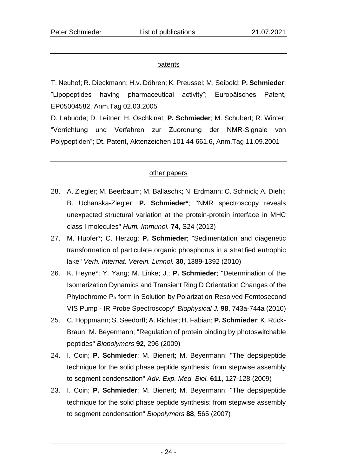## patents

T. Neuhof; R. Dieckmann; H.v. Döhren; K. Preussel; M. Seibold; **P. Schmieder**; "Lipopeptides having pharmaceutical activity"; Europäisches Patent, EP05004582, Anm.Tag 02.03.2005

D. Labudde; D. Leitner; H. Oschkinat; **P. Schmieder**; M. Schubert; R. Winter; "Vorrichtung und Verfahren zur Zuordnung der NMR-Signale von Polypeptiden"; Dt. Patent, Aktenzeichen 101 44 661.6, Anm.Tag 11.09.2001

## other papers

- 28. A. Ziegler; M. Beerbaum; M. Ballaschk; N. Erdmann; C. Schnick; A. Diehl; B. Uchanska-Ziegler; **P. Schmieder\***; "NMR spectroscopy reveals unexpected structural variation at the protein-protein interface in MHC class I molecules" *Hum. Immunol.* **74**, S24 (2013)
- 27. M. Hupfer\*; C. Herzog; **P. Schmieder**; "Sedimentation and diagenetic transformation of particulate organic phosphorus in a stratified eutrophic lake" *Verh. Internat. Verein. Limnol.* **30**, 1389-1392 (2010)
- 26. K. Heyne\*; Y. Yang; M. Linke; J.; **P. Schmieder**; "Determination of the Isomerization Dynamics and Transient Ring D Orientation Changes of the Phytochrome Pfr form in Solution by Polarization Resolved Femtosecond VIS Pump - IR Probe Spectroscopy" *Biophysical J.* **98**, 743a-744a (2010)
- 25. C. Hoppmann; S. Seedorff; A. Richter; H. Fabian; **P. Schmieder**; K. Rück-Braun; M. Beyermann; "Regulation of protein binding by photoswitchable peptides" *Biopolymers* **92**, 296 (2009)
- 24. I. Coin; **P. Schmieder**; M. Bienert; M. Beyermann; "The depsipeptide technique for the solid phase peptide synthesis: from stepwise assembly to segment condensation" *Adv. Exp. Med. Biol.* **611**, 127-128 (2009)
- 23. I. Coin; **P. Schmieder**; M. Bienert; M. Beyermann; "The depsipeptide technique for the solid phase peptide synthesis: from stepwise assembly to segment condensation" *Biopolymers* **88**, 565 (2007)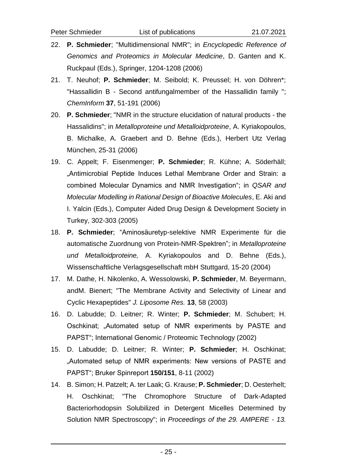- 22. **P. Schmieder**; "Multidimensional NMR"; in *Encyclopedic Reference of Genomics and Proteomics in Molecular Medicine*, D. Ganten and K. Ruckpaul (Eds.), Springer, 1204-1208 (2006)
- 21. T. Neuhof; **P. Schmieder**; M. Seibold; K. Preussel; H. von Döhren\*; "Hassallidin B - Second antifungalmember of the Hassallidin family "; *ChemInform* **37**, 51-191 (2006)
- 20. **P. Schmieder**; "NMR in the structure elucidation of natural products the Hassalidins"; in *Metalloproteine und Metalloidproteine*, A. Kyriakopoulos, B. Michalke, A. Graebert and D. Behne (Eds.), Herbert Utz Verlag München, 25-31 (2006)
- 19. C. Appelt; F. Eisenmenger; **P. Schmieder**; R. Kühne; A. Söderhäll; "Antimicrobial Peptide Induces Lethal Membrane Order and Strain: a combined Molecular Dynamics and NMR Investigation"; in *QSAR and Molecular Modelling in Rational Design of Bioactive Molecules*, E. Aki and I. Yalcin (Eds.), Computer Aided Drug Design & Development Society in Turkey, 302-303 (2005)
- 18. **P. Schmieder**; "Aminosäuretyp-selektive NMR Experimente für die automatische Zuordnung von Protein-NMR-Spektren"; in *Metalloproteine und Metalloidproteine,* A. Kyriakopoulos and D. Behne (Eds.), Wissenschaftliche Verlagsgesellschaft mbH Stuttgard, 15-20 (2004)
- 17. M. Dathe, H. Nikolenko, A. Wessolowski, **P. Schmieder**, M. Beyermann, andM. Bienert; "The Membrane Activity and Selectivity of Linear and Cyclic Hexapeptides" *J. Liposome Res.* **13**, 58 (2003)
- 16. D. Labudde; D. Leitner; R. Winter; **P. Schmieder**; M. Schubert; H. Oschkinat; "Automated setup of NMR experiments by PASTE and PAPST"; International Genomic / Proteomic Technology (2002)
- 15. D. Labudde; D. Leitner; R. Winter; **P. Schmieder**; H. Oschkinat; "Automated setup of NMR experiments: New versions of PASTE and PAPST"; Bruker Spinreport **150/151**, 8-11 (2002)
- 14. B. Simon; H. Patzelt; A. ter Laak; G. Krause; **P. Schmieder**; D. Oesterhelt; H. Oschkinat; "The Chromophore Structure of Dark-Adapted Bacteriorhodopsin Solubilized in Detergent Micelles Determined by Solution NMR Spectroscopy"; in *Proceedings of the 29. AMPERE - 13.*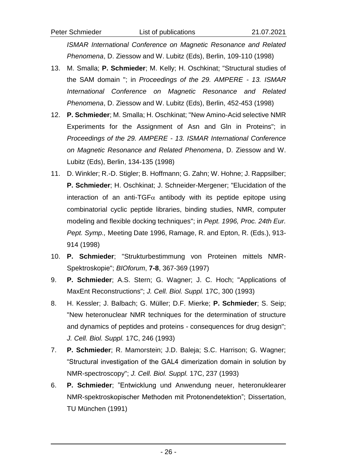*ISMAR International Conference on Magnetic Resonance and Related Phenomena*, D. Ziessow and W. Lubitz (Eds), Berlin, 109-110 (1998)

- 13. M. Smalla; **P. Schmieder**; M. Kelly; H. Oschkinat; "Structural studies of the SAM domain "; in *Proceedings of the 29. AMPERE - 13. ISMAR International Conference on Magnetic Resonance and Related Phenomena*, D. Ziessow and W. Lubitz (Eds), Berlin, 452-453 (1998)
- 12. **P. Schmieder**; M. Smalla; H. Oschkinat; "New Amino-Acid selective NMR Experiments for the Assignment of Asn and Gln in Proteins"; in *Proceedings of the 29. AMPERE - 13. ISMAR International Conference on Magnetic Resonance and Related Phenomena*, D. Ziessow and W. Lubitz (Eds), Berlin, 134-135 (1998)
- 11. D. Winkler; R.-D. Stigler; B. Hoffmann; G. Zahn; W. Hohne; J. Rappsilber; **P. Schmieder**; H. Oschkinat; J. Schneider-Mergener; "Elucidation of the interaction of an anti-TGF $\alpha$  antibody with its peptide epitope using combinatorial cyclic peptide libraries, binding studies, NMR, computer modeling and flexible docking techniques"; in *Pept. 1996, Proc. 24th Eur. Pept. Symp.,* Meeting Date 1996, Ramage, R. and Epton, R. (Eds.), 913- 914 (1998)
- 10. **P. Schmieder**; "Strukturbestimmung von Proteinen mittels NMR-Spektroskopie"; *BIOforum*, **7-8**, 367-369 (1997)
- 9. **P. Schmieder**; A.S. Stern; G. Wagner; J. C. Hoch; "Applications of MaxEnt Reconstructions"; *J. Cell. Biol. Suppl.* 17C, 300 (1993)
- 8. H. Kessler; J. Balbach; G. Müller; D.F. Mierke; **P. Schmieder**; S. Seip; "New heteronuclear NMR techniques for the determination of structure and dynamics of peptides and proteins - consequences for drug design"; *J. Cell. Biol. Suppl.* 17C, 246 (1993)
- 7. **P. Schmieder**; R. Mamorstein; J.D. Baleja; S.C. Harrison; G. Wagner; "Structural investigation of the GAL4 dimerization domain in solution by NMR-spectroscopy"; *J. Cell. Biol. Suppl.* 17C, 237 (1993)
- 6. **P. Schmieder**; "Entwicklung und Anwendung neuer, heteronuklearer NMR-spektroskopischer Methoden mit Protonendetektion"; Dissertation, TU München (1991)